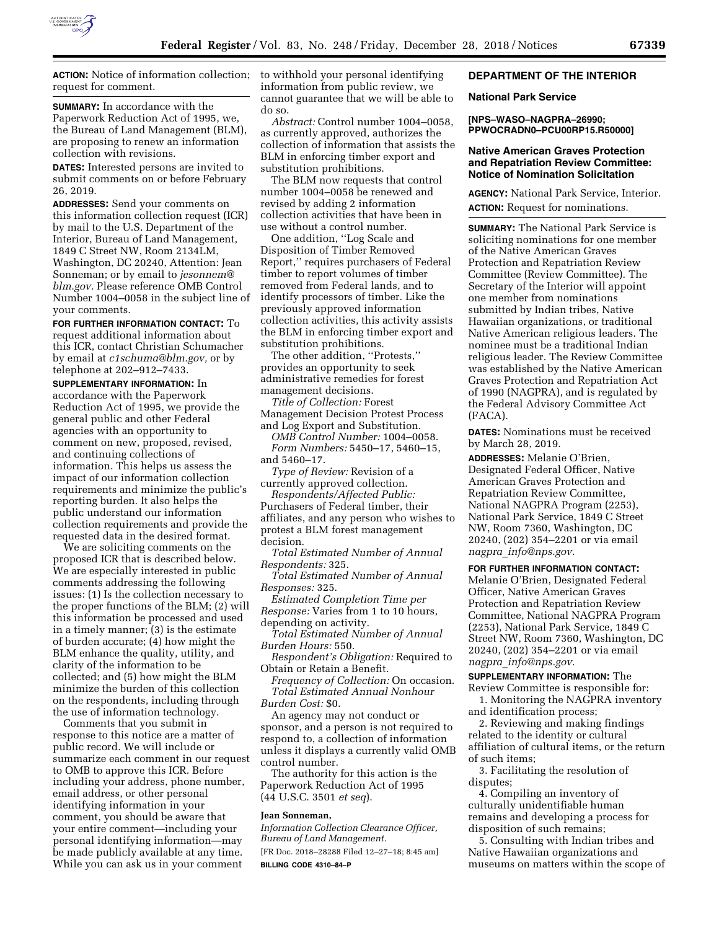

**ACTION:** Notice of information collection; request for comment.

**SUMMARY:** In accordance with the Paperwork Reduction Act of 1995, we, the Bureau of Land Management (BLM), are proposing to renew an information collection with revisions.

**DATES:** Interested persons are invited to submit comments on or before February 26, 2019.

**ADDRESSES:** Send your comments on this information collection request (ICR) by mail to the U.S. Department of the Interior, Bureau of Land Management, 1849 C Street NW, Room 2134LM, Washington, DC 20240, Attention: Jean Sonneman; or by email to *[jesonnem@](mailto:jesonnem@blm.gov) [blm.gov.](mailto:jesonnem@blm.gov)* Please reference OMB Control Number 1004–0058 in the subject line of your comments.

**FOR FURTHER INFORMATION CONTACT:** To request additional information about this ICR, contact Christian Schumacher by email at *[c1schuma@blm.gov,](mailto:c1schuma@blm.gov)* or by telephone at 202–912–7433.

**SUPPLEMENTARY INFORMATION:** In accordance with the Paperwork Reduction Act of 1995, we provide the general public and other Federal agencies with an opportunity to comment on new, proposed, revised, and continuing collections of information. This helps us assess the impact of our information collection requirements and minimize the public's reporting burden. It also helps the public understand our information collection requirements and provide the requested data in the desired format.

We are soliciting comments on the proposed ICR that is described below. We are especially interested in public comments addressing the following issues: (1) Is the collection necessary to the proper functions of the BLM; (2) will this information be processed and used in a timely manner; (3) is the estimate of burden accurate; (4) how might the BLM enhance the quality, utility, and clarity of the information to be collected; and (5) how might the BLM minimize the burden of this collection on the respondents, including through the use of information technology.

Comments that you submit in response to this notice are a matter of public record. We will include or summarize each comment in our request to OMB to approve this ICR. Before including your address, phone number, email address, or other personal identifying information in your comment, you should be aware that your entire comment—including your personal identifying information—may be made publicly available at any time. While you can ask us in your comment

to withhold your personal identifying information from public review, we cannot guarantee that we will be able to do so.

*Abstract:* Control number 1004–0058, as currently approved, authorizes the collection of information that assists the BLM in enforcing timber export and substitution prohibitions.

The BLM now requests that control number 1004–0058 be renewed and revised by adding 2 information collection activities that have been in use without a control number.

One addition, ''Log Scale and Disposition of Timber Removed Report,'' requires purchasers of Federal timber to report volumes of timber removed from Federal lands, and to identify processors of timber. Like the previously approved information collection activities, this activity assists the BLM in enforcing timber export and substitution prohibitions.

The other addition, ''Protests,'' provides an opportunity to seek administrative remedies for forest management decisions.

*Title of Collection:* Forest Management Decision Protest Process and Log Export and Substitution.

*OMB Control Number:* 1004–0058. *Form Numbers:* 5450–17, 5460–15, and 5460–17.

*Type of Review:* Revision of a currently approved collection.

*Respondents/Affected Public:*  Purchasers of Federal timber, their affiliates, and any person who wishes to protest a BLM forest management decision.

*Total Estimated Number of Annual Respondents:* 325.

*Total Estimated Number of Annual Responses:* 325.

*Estimated Completion Time per Response:* Varies from 1 to 10 hours, depending on activity.

*Total Estimated Number of Annual Burden Hours:* 550.

*Respondent's Obligation:* Required to Obtain or Retain a Benefit.

*Frequency of Collection:* On occasion. *Total Estimated Annual Nonhour Burden Cost:* \$0.

An agency may not conduct or sponsor, and a person is not required to respond to, a collection of information unless it displays a currently valid OMB control number.

The authority for this action is the Paperwork Reduction Act of 1995 (44 U.S.C. 3501 *et seq*).

#### **Jean Sonneman,**

*Information Collection Clearance Officer, Bureau of Land Management.* 

[FR Doc. 2018–28288 Filed 12–27–18; 8:45 am] **BILLING CODE 4310–84–P** 

# **DEPARTMENT OF THE INTERIOR**

## **National Park Service**

**[NPS–WASO–NAGPRA–26990; PPWOCRADN0–PCU00RP15.R50000]** 

#### **Native American Graves Protection and Repatriation Review Committee: Notice of Nomination Solicitation**

**AGENCY:** National Park Service, Interior. **ACTION:** Request for nominations.

**SUMMARY:** The National Park Service is soliciting nominations for one member of the Native American Graves Protection and Repatriation Review Committee (Review Committee). The Secretary of the Interior will appoint one member from nominations submitted by Indian tribes, Native Hawaiian organizations, or traditional Native American religious leaders. The nominee must be a traditional Indian religious leader. The Review Committee was established by the Native American Graves Protection and Repatriation Act of 1990 (NAGPRA), and is regulated by the Federal Advisory Committee Act (FACA).

**DATES:** Nominations must be received by March 28, 2019.

**ADDRESSES:** Melanie O'Brien, Designated Federal Officer, Native American Graves Protection and Repatriation Review Committee, National NAGPRA Program (2253), National Park Service, 1849 C Street NW, Room 7360, Washington, DC 20240, (202) 354–2201 or via email *nagpra*\_*[info@nps.gov.](mailto:nagpra_info@nps.gov)* 

### **FOR FURTHER INFORMATION CONTACT:**

Melanie O'Brien, Designated Federal Officer, Native American Graves Protection and Repatriation Review Committee, National NAGPRA Program (2253), National Park Service, 1849 C Street NW, Room 7360, Washington, DC 20240, (202) 354–2201 or via email *nagpra*\_*[info@nps.gov.](mailto:nagpra_info@nps.gov)* 

**SUPPLEMENTARY INFORMATION:** The Review Committee is responsible for:

1. Monitoring the NAGPRA inventory and identification process;

2. Reviewing and making findings related to the identity or cultural affiliation of cultural items, or the return of such items;

3. Facilitating the resolution of disputes;

4. Compiling an inventory of culturally unidentifiable human remains and developing a process for disposition of such remains;

5. Consulting with Indian tribes and Native Hawaiian organizations and museums on matters within the scope of